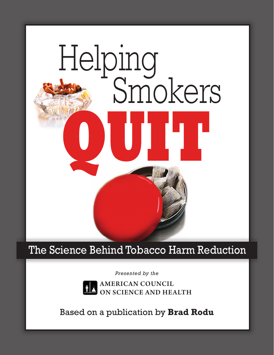

### The Science Behind Tobacco Harm Reduction

*Presented by the*



Based on a publication by **Brad Rodu**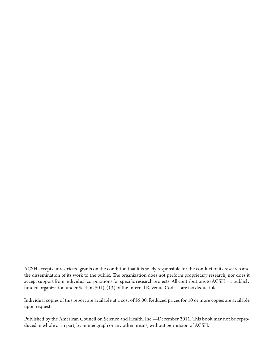ACSH accepts unrestricted grants on the condition that it is solely responsible for the conduct of its research and the dissemination of its work to the public. The organization does not perform proprietary research, nor does it accept support from individual corporations for specific research projects. All contributions to ACSH—a publicly funded organization under Section  $501(c)(3)$  of the Internal Revenue Code—are tax deductible.

Individual copies of this report are available at a cost of \$5.00. Reduced prices for 10 or more copies are available upon request.

Published by the American Council on Science and Health, Inc.—December 2011. This book may not be reproduced in whole or in part, by mimeograph or any other means, without permission of ACSH.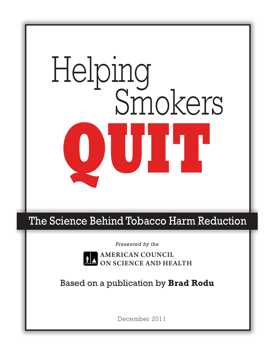

### The Science Behind Tobacco Harm Reduction

*Presented by the*



AMERICAN COUNCIL ON SCIENCE AND HEALTH

Based on a publication by **Brad Rodu**

December 2011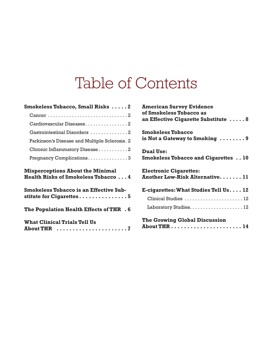# Table of Contents

| <b>Smokeless Tobacco, Small Risks2</b>                                               |
|--------------------------------------------------------------------------------------|
|                                                                                      |
| Cardiovascular Diseases2                                                             |
| Gastrointestinal Disorders 2                                                         |
| Parkinson's Disease and Multiple Sclerosis. 2                                        |
| Chronic Inflammatory Disease2                                                        |
| Pregnancy Complications3                                                             |
|                                                                                      |
| <b>Misperceptions About the Minimal</b><br><b>Health Risks of Smokeless Tobacco4</b> |
| <b>Smokeless Tobacco is an Effective Sub-</b><br>stitute for Cigarettes5             |
| The Population Health Effects of THR . 6                                             |

| <b>American Survey Evidence</b>                                         |
|-------------------------------------------------------------------------|
| of Smokeless Tobacco as                                                 |
| an Effective Cigarette Substitute 8                                     |
| <b>Smokeless Tobacco</b>                                                |
| is Not a Gateway to Smoking $\dots \dots \dots$                         |
| Dual Use:                                                               |
| <b>Smokeless Tobacco and Cigarettes</b> 10                              |
| <b>Electronic Cigarettes:</b><br><b>Another Low-Risk Alternative 11</b> |
| <b>E-cigarettes: What Studies Tell Us 12</b>                            |
| Clinical Studies  12                                                    |
|                                                                         |
|                                                                         |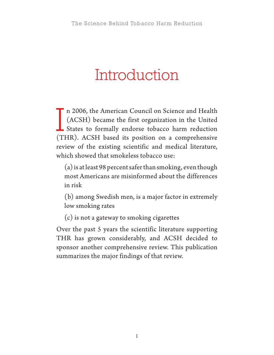# Introduction

I n 2006, the American Council on Science and Health (ACSH) became the first organization in the United **L** States to formally endorse tobacco harm reduction (THR). ACSH based its position on a comprehensive review of the existing scientific and medical literature, which showed that smokeless tobacco use:

(a) is at least 98 percent safer than smoking, even though most Americans are misinformed about the differences in risk

(b) among Swedish men, is a major factor in extremely low smoking rates

(c) is not a gateway to smoking cigarettes

Over the past 5 years the scientific literature supporting THR has grown considerably, and ACSH decided to sponsor another comprehensive review. This publication summarizes the major findings of that review.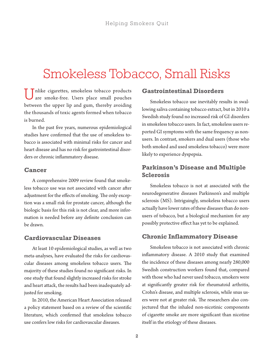### Smokeless Tobacco, Small Risks

Unlike cigarettes, smokeless tobacco products are smoke-free. Users place small pouches between the upper lip and gum, thereby avoiding the thousands of toxic agents formed when tobacco is burned.

In the past five years, numerous epidemiological studies have confirmed that the use of smokeless tobacco is associated with minimal risks for cancer and heart disease and has no risk for gastrointestinal disorders or chronic inflammatory disease.

### **Cancer**

A comprehensive 2009 review found that smokeless tobacco use was not associated with cancer after adjustment for the effects of smoking. The only exception was a small risk for prostate cancer, although the biologic basis for this risk is not clear, and more information is needed before any definite conclusion can be drawn.

### **Cardiovascular Diseases**

At least 10 epidemiological studies, as well as two meta-analyses, have evaluated the risks for cardiovascular diseases among smokeless tobacco users. The majority of these studies found no significant risks. In one study that found slightly increased risks for stroke and heart attack, the results had been inadequately adjusted for smoking.

In 2010, the American Heart Association released a policy statement based on a review of the scientific literature, which confirmed that smokeless tobacco use confers low risks for cardiovascular diseases.

### **Gastrointestinal Disorders**

Smokeless tobacco use inevitably results in swallowing saliva containing tobacco extract, but in 2010 a Swedish study found no increased risk of GI disorders in smokeless tobacco users. In fact, smokeless users reported GI symptoms with the same frequency as nonusers. In contrast, smokers and dual users (those who both smoked and used smokeless tobacco) were more likely to experience dyspepsia.

### **Parkinson's Disease and Multiple Sclerosis**

Smokeless tobacco is not at associated with the neurodegenerative diseases Parkinson's and multiple sclerosis (MS). Intriguingly, smokeless tobacco users actually have lower rates of these diseases than do nonusers of tobacco, but a biological mechanism for any possibly protective effect has yet to be explained.

### **Chronic Inflammatory Disease**

Smokeless tobacco is not associated with chronic inflammatory disease. A 2010 study that examined the incidence of these diseases among nearly 280,000 Swedish construction workers found that, compared with those who had never used tobacco, smokers were at significantly greater risk for rheumatoid arthritis, Crohn's disease, and multiple sclerosis, while snus users were not at greater risk. The researchers also conjectured that the inhaled non-nicotinic components of cigarette smoke are more significant than nicotine itself in the etiology of these diseases.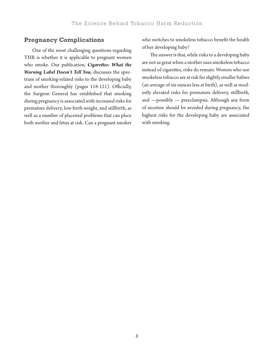### **Pregnancy Complications**

One of the most challenging questions regarding THR is whether it is applicable to pregnant women who smoke. Our publication, *Cigarettes: What the Warning Label Doesn't Tell You,* discusses the spectrum of smoking-related risks to the developing baby and mother thoroughly (pages  $118-121$ ). Officially, the Surgeon General has established that smoking during pregnancy is associated with increased risks for premature delivery, low-birth weight, and stillbirth, as well as a number of placental problems that can place both mother and fetus at risk. Can a pregnant smoker

who switches to smokeless tobacco benefit the health of her developing baby?

The answer is that, while risks to a developing baby are not as great when a mother uses smokeless tobacco instead of cigarettes, risks do remain. Women who use smokeless tobacco are at risk for slightly smaller babies (an average of six ounces less at birth), as well as modestly elevated risks for premature delivery, stillbirth, and —possibly — preeclampsia. Although any form of nicotine should be avoided during pregnancy, the highest risks for the developing baby are associated with smoking.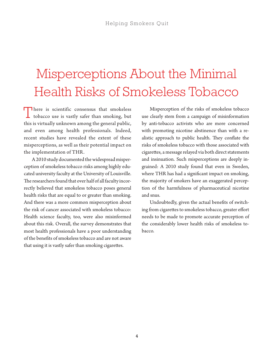## Misperceptions About the Minimal Health Risks of Smokeless Tobacco

There is scientific consensus that smokeless tobacco use is vastly safer than smoking, but this is virtually unknown among the general public, and even among health professionals. Indeed, recent studies have revealed the extent of these misperceptions, as well as their potential impact on the implementation of THR.

A 2010 study documented the widespread misperception of smokeless tobacco risks among highly educated university faculty at the University of Louisville. The researchers found that over half of all faculty incorrectly believed that smokeless tobacco poses general health risks that are equal to or greater than smoking. And there was a more common misperception about the risk of cancer associated with smokeless tobacco: Health science faculty, too, were also misinformed about this risk. Overall, the survey demonstrates that most health professionals have a poor understanding of the benefits of smokeless tobacco and are not aware that using it is vastly safer than smoking cigarettes.

Misperception of the risks of smokeless tobacco use clearly stem from a campaign of misinformation by anti-tobacco activists who are more concerned with promoting nicotine abstinence than with a realistic approach to public health. They conflate the risks of smokeless tobacco with those associated with cigarettes, a message relayed via both direct statements and insinuation. Such misperceptions are deeply ingrained: A 2010 study found that even in Sweden, where THR has had a significant impact on smoking, the majority of smokers have an exaggerated perception of the harmfulness of pharmaceutical nicotine and snus.

Undoubtedly, given the actual benefits of switching from cigarettes to smokeless tobacco, greater effort needs to be made to promote accurate perception of the considerably lower health risks of smokeless tobacco.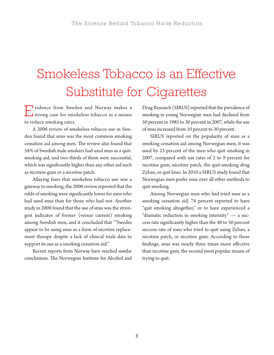## Smokeless Tobacco is an Effective Substitute for Cigarettes

Evidence from Sweden and Norway makes a strong case for smokeless tobacco as a means to reduce smoking rates.

A 2006 review of smokeless tobacco use in Sweden found that snus was the most common smoking cessation aid among men. The review also found that 58% of Swedish male smokers had used snus as a quitsmoking aid, and two-thirds of them were successful, which was significantly higher than any other aid such as nicotine gum or a nicotine patch.

Allaying fears that smokeless tobacco use was a gateway to smoking, the 2006 review reported that the odds of smoking were significantly lower for men who had used snus than for those who had not. Another study in 2008 found that the use of snus was the strongest indicator of former (versus current) smoking among Swedish men, and it concluded that ""Swedes appear to be using snus as a form of nicotine replacement therapy despite a lack of clinical trials data to support its use as a smoking cessation aid."

Recent reports from Norway have reached similar conclusions. The Norwegian Institute for Alcohol and Drug Research (SIRUS) reported that the prevalence of smoking in young Norwegian men had declined from 50 percent in 1985 to 30 percent in 2007, while the use of snus increased from 10 percent to 30 percent.

SIRUS reported on the popularity of snus as a smoking cessation aid among Norwegian men; it was used by 23 percent of the men who quit smoking in 2007, compared with use rates of 2 to 9 percent for nicotine gum, nicotine patch, the quit-smoking drug Zyban, or quit lines. In 2010 a SIRUS study found that Norwegian men prefer snus over all other methods to quit smoking.

Among Norwegian men who had tried snus as a smoking cessation aid, 74 percent reported to have "quit smoking altogether," or to have experienced a "dramatic reduction in smoking intensity" — a success rate significantly higher than the 40 to 50 percent success rate of men who tried to quit using Zyban, a nicotine patch, or nicotine gum. According to these findings, snus was nearly three times more effective than nicotine gum, the second most popular means of trying to quit.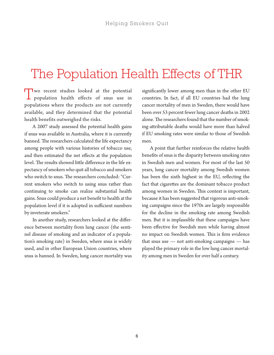### The Population Health Effects of THR

Two recent studies looked at the potential population health effects of snus use in populations where the products are not currently available, and they determined that the potential health benefits outweighed the risks.

A 2007 study assessed the potential health gains if snus was available in Australia, where it is currently banned. The researchers calculated the life expectancy among people with various histories of tobacco use, and then estimated the net effects at the population level. The results showed little difference in the life expectancy of smokers who quit all tobacco and smokers who switch to snus. The researchers concluded: "Current smokers who switch to using snus rather than continuing to smoke can realize substantial health gains. Snus could produce a net benefit to health at the population level if it is adopted in sufficient numbers by inveterate smokers."

In another study, researchers looked at the difference between mortality from lung cancer (the sentinel disease of smoking and an indicator of a population's smoking rate) in Sweden, where snus is widely used, and in other European Union countries, where snus is banned. In Sweden, lung cancer mortality was

significantly lower among men than in the other EU countries. In fact, if all EU countries had the lung cancer mortality of men in Sweden, there would have been over 53 percent fewer lung cancer deaths in 2002 alone. The researchers found that the number of smoking-attributable deaths would have more than halved if EU smoking rates were similar to those of Swedish men.

A point that further reinforces the relative health benefits of snus is the disparity between smoking rates in Swedish men and women. For most of the last 50 years, lung cancer mortality among Swedish women has been the sixth highest in the EU, reflecting the fact that cigarettes are the dominant tobacco product among women in Sweden. This context is important, because it has been suggested that vigorous anti-smoking campaigns since the 1970s are largely responsible for the decline in the smoking rate among Swedish men. But it is implausible that these campaigns have been effective for Swedish men while having almost no impact on Swedish women. This is firm evidence that snus use — not anti-smoking campaigns — has played the primary role in the low lung cancer mortality among men in Sweden for over half a century.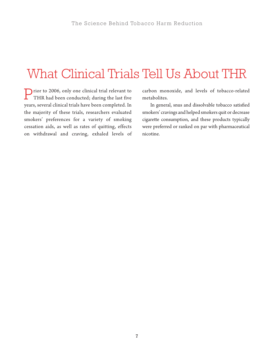### What Clinical Trials Tell Us About THR

Prior to 2006, only one clinical trial relevant to THR had been conducted; during the last five years, several clinical trials have been completed. In the majority of these trials, researchers evaluated smokers' preferences for a variety of smoking cessation aids, as well as rates of quitting, effects on withdrawal and craving, exhaled levels of

carbon monoxide, and levels of tobacco-related metabolites.

In general, snus and dissolvable tobacco satisfied smokers' cravings and helped smokers quit or decrease cigarette consumption, and these products typically were preferred or ranked on par with pharmaceutical nicotine.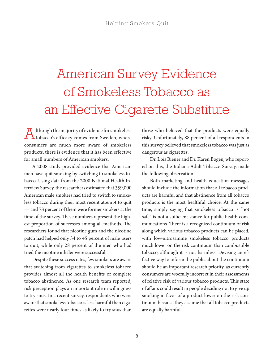# American Survey Evidence of Smokeless Tobacco as an Effective Cigarette Substitute

 $\pi$  lthough the majority of evidence for smokeless **L**tobacco's efficacy comes from Sweden, where consumers are much more aware of smokeless products, there is evidence that it has been effective for small numbers of American smokers.

A 2008 study provided evidence that American men have quit smoking by switching to smokeless tobacco. Using data from the 2000 National Health Interview Survey, the researchers estimated that 359,000 American male smokers had tried to switch to smokeless tobacco during their most recent attempt to quit — and 73 percent of them were former smokers at the time of the survey. These numbers represent the highest proportion of successes among all methods. The researchers found that nicotine gum and the nicotine patch had helped only 34 to 45 percent of male users to quit, while only 28 percent of the men who had tried the nicotine inhaler were successful.

Despite these success rates, few smokers are aware that switching from cigarettes to smokeless tobacco provides almost all the health benefits of complete tobacco abstinence. As one research team reported, risk perception plays an important role in willingness to try snus. In a recent survey, respondents who were aware that smokeless tobacco is less harmful than cigarettes were nearly four times as likely to try snus than those who believed that the products were equally risky. Unfortunately, 88 percent of all respondents in this survey believed that smokeless tobacco was just as dangerous as cigarettes.

Dr. Lois Biener and Dr. Karen Bogen, who reported on this, the Indiana Adult Tobacco Survey, made the following observation:

Both marketing and health education messages should include the information that all tobacco products are harmful and that abstinence from all tobacco products is the most healthful choice. At the same time, simply saying that smokeless tobacco is "not safe" is not a sufficient stance for public health communications. There is a recognized continuum of risk along which various tobacco products can be placed, with low-nitrosamine smokeless tobacco products much lower on the risk continuum than combustible tobacco, although it is not harmless. Devising an effective way to inform the public about the continuum should be an important research priority, as currently consumers are woefully incorrect in their assessments of relative risk of various tobacco products. This state of affairs could result in people deciding not to give up smoking in favor of a product lower on the risk continuum because they assume that all tobacco products are equally harmful.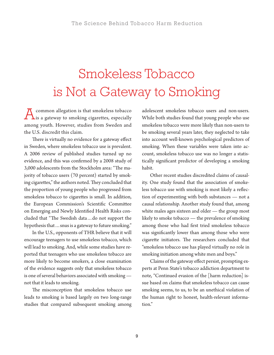## Smokeless Tobacco is Not a Gateway to Smoking

 $\sum$  common allegation is that smokeless tobacco is a gateway to smoking cigarettes, especially among youth. However, studies from Sweden and the U.S. discredit this claim.

There is virtually no evidence for a gateway effect in Sweden, where smokeless tobacco use is prevalent. A 2006 review of published studies turned up no evidence, and this was confirmed by a 2008 study of 3,000 adolescents from the Stockholm area: "The majority of tobacco users (70 percent) started by smoking cigarettes," the authors noted. They concluded that the proportion of young people who progressed from smokeless tobacco to cigarettes is small. In addition, the European Commission's Scientific Committee on Emerging and Newly Identified Health Risks concluded that "The Swedish data...do not support the hypothesis that ... snus is a gateway to future smoking."

In the U.S., opponents of THR believe that it will encourage teenagers to use smokeless tobacco, which will lead to smoking. And, while some studies have reported that teenagers who use smokeless tobacco are more likely to become smokers, a close examination of the evidence suggests only that smokeless tobacco is one of several behaviors associated with smoking not that it leads to smoking.

The misconception that smokeless tobacco use leads to smoking is based largely on two long-range studies that compared subsequent smoking among

adolescent smokeless tobacco users and non-users. While both studies found that young people who use smokeless tobacco were more likely than non-users to be smoking several years later, they neglected to take into account well-known psychological predictors of smoking. When these variables were taken into account, smokeless tobacco use was no longer a statistically significant predictor of developing a smoking habit.

Other recent studies discredited claims of causality. One study found that the association of smokeless tobacco use with smoking is most likely a reflection of experimenting with both substances — not a causal relationship. Another study found that, among white males ages sixteen and older — the group most likely to smoke tobacco — the prevalence of smoking among those who had first tried smokeless tobacco was significantly lower than among those who were cigarette initiators. The researchers concluded that "smokeless tobacco use has played virtually no role in smoking initiation among white men and boys."

Claims of the gateway effect persist, prompting experts at Penn State's tobacco addiction department to note, "Continued evasion of the [harm reduction] issue based on claims that smokeless tobacco can cause smoking seems, to us, to be an unethical violation of the human right to honest, health-relevant information."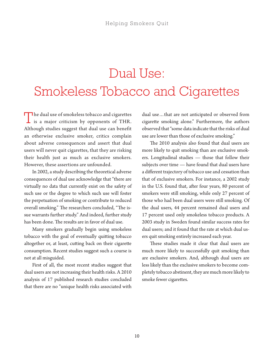## Dual Use: Smokeless Tobacco and Cigarettes

The dual use of smokeless tobacco and cigarettes  $\perp$  is a major criticism by opponents of THR. Although studies suggest that dual use can benefit an otherwise exclusive smoker, critics complain about adverse consequences and assert that dual users will never quit cigarettes, that they are risking their health just as much as exclusive smokers. However, these assertions are unfounded.

In 2002, a study describing the theoretical adverse consequences of dual use acknowledge that "there are virtually no data that currently exist on the safety of such use or the degree to which such use will foster the perpetuation of smoking or contribute to reduced overall smoking." The researchers concluded, "The issue warrants further study." And indeed, further study has been done. The results are in favor of dual use.

Many smokers gradually begin using smokeless tobacco with the goal of eventually quitting tobacco altogether or, at least, cutting back on their cigarette consumption. Recent studies suggest such a course is not at all misguided.

First of all, the most recent studies suggest that dual users are not increasing their health risks. A 2010 analysis of 17 published research studies concluded that there are no "unique health risks associated with dual use…that are not anticipated or observed from cigarette smoking alone." Furthermore, the authors observed that "some data indicate that the risks of dual use are lower than those of exclusive smoking."

The 2010 analysis also found that dual users are more likely to quit smoking than are exclusive smokers. Longitudinal studies — those that follow their subjects over time — have found that dual users have a different trajectory of tobacco use and cessation than that of exclusive smokers. For instance, a 2002 study in the U.S. found that, after four years, 80 percent of smokers were still smoking, while only 27 percent of those who had been dual users were still smoking. Of the dual users, 44 percent remained dual users and 17 percent used only smokeless tobacco products. A 2003 study in Sweden found similar success rates for dual users; and it found that the rate at which dual users quit smoking entirely increased each year.

These studies made it clear that dual users are much more likely to successfully quit smoking than are exclusive smokers. And, although dual users are less likely than the exclusive smokers to become completely tobacco abstinent, they are much more likely to smoke fewer cigarettes.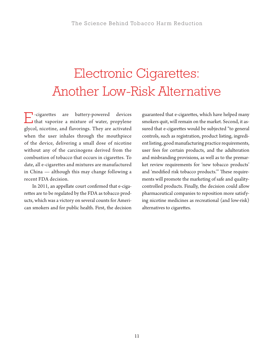## Electronic Cigarettes: Another Low-Risk Alternative

E-cigarettes are battery-powered devices that vaporize a mixture of water, propylene glycol, nicotine, and flavorings. They are activated when the user inhales through the mouthpiece of the device, delivering a small dose of nicotine without any of the carcinogens derived from the combustion of tobacco that occurs in cigarettes. To date, all e-cigarettes and mixtures are manufactured in China — although this may change following a recent FDA decision.

In 2011, an appellate court confirmed that e-cigarettes are to be regulated by the FDA as tobacco products, which was a victory on several counts for American smokers and for public health. First, the decision

guaranteed that e-cigarettes, which have helped many smokers quit, will remain on the market. Second, it assured that e-cigarettes would be subjected "to general controls, such as registration, product listing, ingredient listing, good manufacturing practice requirements, user fees for certain products, and the adulteration and misbranding provisions, as well as to the premarket review requirements for 'new tobacco products' and 'modified risk tobacco products." These requirements will promote the marketing of safe and qualitycontrolled products. Finally, the decision could allow pharmaceutical companies to reposition more satisfying nicotine medicines as recreational (and low-risk) alternatives to cigarettes.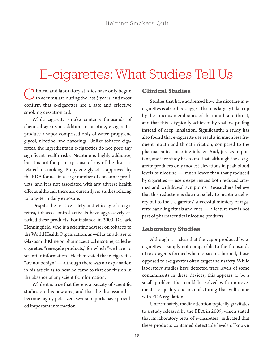### E-cigarettes: What Studies Tell Us

Clinical and laboratory studies have only begun to accumulate during the last 5 years, and most confirm that e-cigarettes are a safe and effective smoking cessation aid.

While cigarette smoke contains thousands of chemical agents in addition to nicotine, e-cigarettes produce a vapor comprised only of water, propylene glycol, nicotine, and flavorings. Unlike tobacco cigarettes, the ingredients in e-cigarettes do not pose any significant health risks. Nicotine is highly addictive, but it is not the primary cause of any of the diseases related to smoking. Propylene glycol is approved by the FDA for use in a large number of consumer products, and it is not associated with any adverse health effects, although there are currently no studies relating to long-term daily exposure.

Despite the relative safety and efficacy of e-cigarettes, tobacco-control activists have aggressively attacked these products. For instance, in 2009, Dr. Jack Henningfield, who is a scientific adviser on tobacco to the World Health Organization, as well as an adviser to GlaxosmithKline on pharmaceutical nicotine, called ecigarettes "renegade products," for which "we have no scientific information." He then stated that e-cigarettes "are not benign" — although there was no explanation in his article as to how he came to that conclusion in the absence of any scientific information.

While it is true that there is a paucity of scientific studies on this new area, and that the discussion has become highly polarized, several reports have provided important information.

### **Clinical Studies**

Studies that have addressed how the nicotine in ecigarettes is absorbed suggest that it is largely taken up by the mucous membranes of the mouth and throat, and that this is typically achieved by shallow puffing instead of deep inhalation. Significantly, a study has also found that e-cigarette use results in much less frequent mouth and throat irritation, compared to the pharmaceutical nicotine inhaler. And, just as important, another study has found that, although the e-cigarette produces only modest elevations in peak blood levels of nicotine — much lower than that produced by cigarettes — users experienced both reduced cravings and withdrawal symptoms. Researchers believe that this reduction is due not solely to nicotine delivery but to the e-cigarettes' successful mimicry of cigarette handling rituals and cues - a feature that is not part of pharmaceutical nicotine products.

### **Laboratory Studies**

Although it is clear that the vapor produced by ecigarettes is simply not comparable to the thousands of toxic agents formed when tobacco is burned, those opposed to e-cigarettes often target their safety. While laboratory studies have detected trace levels of some contaminants in these devices, this appears to be a small problem that could be solved with improvements to quality and manufacturing that will come with FDA regulation.

Unfortunately, media attention typically gravitates to a study released by the FDA in 2009, which stated that its laboratory tests of e-cigarettes "indicated that these products contained detectable levels of known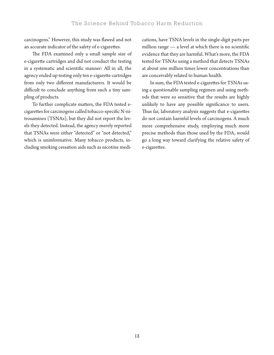carcinogens." However, this study was flawed and not an accurate indicator of the safety of e-cigarettes.

The FDA examined only a small sample size of e-cigarette cartridges and did not conduct the testing in a systematic and scientific manner: All in all, the agency ended up testing only ten e-cigarette cartridges from only two different manufacturers. It would be difficult to conclude anything from such a tiny sampling of products.

To further complicate matters, the FDA tested ecigarettes for carcinogens called tobacco-specific N-nitrosamines (TSNAs), but they did not report the levels they detected. Instead, the agency merely reported that TSNAs were either "detected" or "not detected," which is uninformative. Many tobacco products, including smoking cessation aids such as nicotine medications, have TSNA levels in the single-digit parts per million range  $-$  a level at which there is no scientific evidence that they are harmful. What's more, the FDA tested for TSNAs using a method that detects TSNAs at about one million times lower concentrations than are conceivably related to human health.

In sum, the FDA tested e-cigarettes for TSNAs using a questionable sampling regimen and using methods that were so sensitive that the results are highly unlikely to have any possible significance to users. Thus far, laboratory analysis suggests that e-cigarettes do not contain harmful levels of carcinogens. A much more comprehensive study, employing much more precise methods than those used by the FDA, would go a long way toward clarifying the relative safety of e-cigarettes.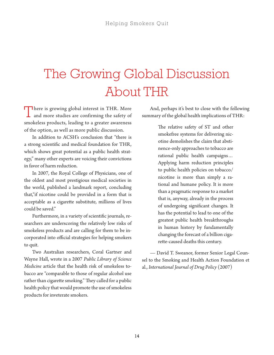## The Growing Global Discussion About THR

There is growing global interest in THR. More and more studies are confirming the safety of smokeless products, leading to a greater awareness of the option, as well as more public discussion.

In addition to ACSH's conclusion that "there is a strong scientific and medical foundation for THR, which shows great potential as a public health strategy," many other experts are voicing their convictions in favor of harm reduction.

In 2007, the Royal College of Physicians, one of the oldest and most prestigious medical societies in the world, published a landmark report, concluding that,"if nicotine could be provided in a form that is acceptable as a cigarette substitute, millions of lives could be saved."

Furthermore, in a variety of scientific journals, researchers are underscoring the relatively low risks of smokeless products and are calling for them to be incorporated into official strategies for helping smokers to quit.

Two Australian researchers, Coral Gartner and Wayne Hall, wrote in a 2007 *Public Library of Science Medicine* article that the health risk of smokeless tobacco are "comparable to those of regular alcohol use rather than cigarette smoking." They called for a public health policy that would promote the use of smokeless products for inveterate smokers.

And, perhaps it's best to close with the following summary of the global health implications of THR:

> The relative safety of ST and other smokefree systems for delivering nicotine demolishes the claim that abstinence-only approaches to tobacco are rational public health campaigns… Applying harm reduction principles to public health policies on tobacco/ nicotine is more than simply a rational and humane policy. It is more than a pragmatic response to a market that is, anyway, already in the process of undergoing significant changes. It has the potential to lead to one of the greatest public health breakthroughs in human history by fundamentally changing the forecast of a billion cigarette-caused deaths this century.

— David T. Sweanor, former Senior Legal Counsel to the Smoking and Health Action Foundation et al., *International Journal of Drug Policy* (2007)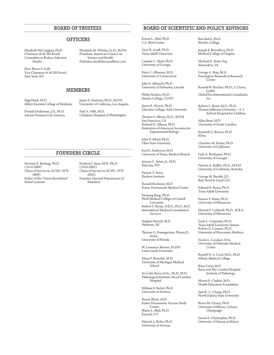#### **BOARD OF TRUSTEES**

#### **OFFICERS**

Elizabeth McCaughey, Ph.D. Chairman of ACSH Board Committee to Reduce Infection Deaths

Hon. Bruce S. Gelb Vice Chairman of ACSH Board New York, NY

#### **MEMBERS**

Nigel Bark, M.D. Albert Einstein College of Medicine

Donald Drakeman, J.D., Ph.D. Advent Ventures Life Sciences James E. Enstrom, Ph.D., M.P.H. University of California, Los Angeles

Elizabeth M. Whelan, Sc.D., M.P.H. President, American Council on Science and Health Publisher, healthfactsandfears.com

Paul A. Offit, M.D. Children's Hospital of Philadelphia

#### **FOUNDERS CIRCLE**

Norman E. Borlaug, Ph.D. (1914-2009) (Years of Service to ACSH: 1978- 2009) Father of the "Green Revolution" Nobel Laureate

Fredrick J. Stare, M.D., Ph.D.  $(1910-2002)$ (Years of Service to ACSH: 1978- 2002) Founder, Harvard Department of Nutrition

**BOARD OF SCIENTIFIC AND POLICY ADVISORS** 

Ernest L. Abel, Ph.D. C.S. Mott Center

Gary R. Acuff, Ph.D. Texas A&M University

Casimir C. Akoh, Ph.D. University of Georgia

Peter C. Albersen, M.D. University of Connecticut

Julie A. Albrecht, Ph.D. University of Nebraska, Lincoln

Philip Alcabes, Ph.D. Hunter College, CUNY

James E. Alcock, Ph.D. Glendon College, York University

Thomas S. Allems, M.D., M.P.H. San Francisco, CA Richard G. Allison, Ph.D. Federation of American Societies for Experimental Biology

John B. Allred, Ph.D. Ohio State University

Karl E. Anderson, M.D. University of Texas, Medical Branch

Jerome C. Arnet, Jr., M.D. Helvetia, WV

Dennis T. Avery Hudson Institute

Ronald Bachman, M.D. Kaiser Permanente Medical Center

Heejung Bang, Ph.D. Weill Medical College of Cornell University Robert S. Baratz, D.D.S., Ph.D., M.D. International Medical Consultation Services

Stephen Barrett, M.D. Pittsboro, NC

Thomas G. Baumgartner, Pharm.D., M.Ed. University of Florida

W. Lawrence Beeson, Dr.P.H. Loma Linda University

Elissa P. Benedek, M.D. University of Michigan Medical School

Sir Colin Berry, D.Sc., Ph.D., M.D. Pathological Institute, Royal London Hospital

William S. Bickel, Ph.D. University of Arizona

Steven Black, M.D. Kaiser Permanente Vaccine Study Center Blaine L. Blad, Ph.D. Kanosh, UT

Hinrich L. Bohn, Ph.D. University of Arizona

Ben Bolch, Ph.D. Rhodes College

Joseph F. Borzelleca, Ph.D. Medical College of Virginia

Michael K. Botts, Esq. Alexandria, VA

George A. Bray, M.D. Pennington Biomedical Research Center

Ronald W. Brecher, Ph.D., C.Chem., DABT GlobalTox International Consultants, Inc.

Robert L. Brent, M.D., Ph.D. Thomas Jefferson University / A. I. duPont Hospital for Children

Allan Brett, M.D. University of South Carolina

Kenneth G. Brown, Ph.D. Kbinc

Christine M. Bruhn, Ph.D. University of California

Gale A. Buchanan, Ph.D. University of Georgia

Patricia A. Buffler, Ph.D., M.P.H. University of California, Berkeley

George M. Burditt, J.D. Bell, Boyd & Lloyd LLC

Edward E. Burns, Ph.D. Texas A&M University

Francis F. Busta, Ph.D. University of Minnesota

Elwood F. Caldwell, Ph.D., M.B.A. University of Minnesota

Zerle L. Carpenter, Ph.D. Texas A&M University System Robert G. Cassens, Ph.D. University of Wisconsin, Madison

Ercole L. Cavalieri, D.Sc. University of Nebraska Medical Center

Russell N. A. Cecil, M.D., Ph.D. Albany Medical College

Rino Cerio, M.D. Barts and The London Hospital Institute of Pathology

Morris E. Chafetz, M.D. Health Education Foundation

Sam K. C. Chang, Ph.D. North Dakota State University

Bruce M. Chassy, Ph.D. University of Illinois, Urbana-Champaign

David A. Christopher, Ph.D. University of Hawaii at Mãnoa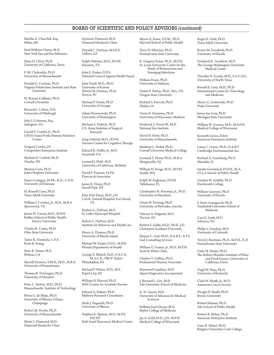#### **BOARD OF SCIENTIFIC AND POLICY ADVISORS** *(continued)*

Martha A. Churchill, Esq. Milan, MI

Emil William Chynn, M.D. New York Eye and Ear Infirmary

Dean O. Cliver, Ph.D. University of California, Davis

F. M. Clydesdale, Ph.D. University of Massachusetts

Donald G. Cochran, Ph.D. Virginia Polytechnic Institute and State University

W. Ronnie Coffman, Ph.D. Cornell University

Bernard L. Cohen, D.Sc. University of Pittsburgh

John J. Cohrssen, Esq. Arlington, VA

Gerald F. Combs, Jr., Ph.D. USDA Grand Forks Human Nutrition Center

Gregory Conko, J.D. Competitive Enterprise Institute

Michael D. Corbett, Ph.D. Omaha, NE

Morton Corn, Ph.D. Johns Hopkins University

Nancy Cotugna, Dr.Ph., R.D., C.D.N. University of Delaware

H. Russell Cross, Ph.D. Texas A&M University

William J. Crowley, Jr., M.D., M.B.A. Spicewood, TX

James W. Curran, M.D., M.P.H. Rollins School of Public Health, Emory University

Charles R. Curtis, Ph.D. Ohio State University

Taiwo K. Danmola, C.P.A. Ernst & Young

Ilene R. Danse, M.D. Bolinas, CA

Sherrill Davison, V.M.D., M.D., M.B.A. University of Pennsylvania

Thomas R. DeGregori, Ph.D. University of Houston

Peter C. Dedon, M.D., Ph.D. Massachusetts Institute of Technology

Elvira G. de Mejia, Ph.D. University of Illinois, Urbana-Champaign

Robert M. Devlin, Ph.D. University of Massachusetts

Merle L. Diamond, M.D. Diamond Headache Clinic Seymour Diamond, M.D. Diamond Headache Clinic

Donald C. Dickson, M.S.E.E. Gilbert, AZ

Ralph Dittman, M.D., M.P.H. Houston, TX

John E. Dodes, D.D.S. National Council Against Health Fraud

John Doull, M.D., Ph.D. University of Kansas Theron W. Downes, Ph.D. Seneca, SC

Michael P. Doyle, Ph.D. University of Georgia

Adam Drewnowski, Ph.D. University of Washington

Michael A. Dubick, Ph.D. U.S. Army Institute of Surgical Research

Greg Dubord, M.D., M.P.H. Toronto Center for Cognitive Therapy

Edward R. Duffie, Jr., M.D. Savannah, GA

Leonard J. Duhl. M.D. University of California, Berkeley

David F. Duncan, Dr.Ph. Duncan & Associates

James R. Dunn, Ph.D. Averill Park, NY

John Dale Dunn, M.D., J.D. Carl R. Darnall Hospital, Fort Hood, TX

Herbert L. DuPont, M.D. St. Luke's Episcopal Hospital

Robert L. DuPont, M.D. Institute for Behavior and Health, Inc.

Henry A. Dymsza, Ph.D. University of Rhode Island

Michael W. Easley, D.D.S., M.P.H. Florida Department of Health

George E. Ehrlich, M.D., F.A.C.P., M.A.C.R., FRCP (Edin) Philadelphia, PA

Michael P. Elston, M.D., M.S. Rapid City, SD

William N. Elwood, Ph.D. NIH/Center for Scientific Review

Edward A. Emken, Ph.D. Midwest Research Consultants

Nicki J. Engeseth, Ph.D. University of Illinois

Stephen K. Epstein, M.D., M.P.P., **FACEP** Beth Israel Deaconess Medical Center Myron E. Essex, D.V.M., Ph.D. Harvard School of Public Health

Terry D. Etherton, Ph.D. Pennsylvania State University

R. Gregory Evans, Ph.D., M.P.H. St. Louis University Center for the Study of Bioterrorism and Emerging Infections

William Evans, Ph.D. University of Alabama

Daniel F. Farkas, Ph.D., M.S., P.E. Oregon State University

Richard S. Fawcett, Ph.D. Huxley, IA

Owen R. Fennema, Ph.D. University of Wisconsin, Madison

Frederick L. Ferris III, M.D. National Eye Institute

David N. Ferro, Ph.D. University of Massachusetts

Madelon L. Finkel, Ph.D. Cornell University Medical College

Leonard T. Flynn, Ph.D., M.B.A. Morganville, NJ

William H. Foege, M.D., M.P.H. Seattle, WA

Ralph W. Fogleman, D.V.M. Tallahassee, FL

Christopher H. Foreman, Jr., Ph.D. University of Maryland Glenn W. Froning, Ph.D. University of Nebraska, Lincoln

Vincent A. Fulginiti, M.D. Tucson, AZ

Robert S. Gable, Ed.D., Ph.D., J.D. Claremont Graduate University

Shayne C. Gad, Ph.D., D.A.B.T., A.T.S. Gad Consulting Services

William G. Gaines, Jr., M.D., M.P.H. Scott & White Clinic

Charles O. Gallina, Ph.D. Professional Nuclear Associates

Raymond Gambino, M.D. Quest Diagnostics Incorporated

J. Bernard L. Gee, M.D. Yale University School of Medicine

K. H. Ginzel, M.D. University of Arkansas for Medical **Sciences** 

William Paul Glezen, M.D. Baylor College of Medicine

Jay A. Gold, M.D., J.D., M.P.H. Medical College of Wisconsin

Roger E. Gold, Ph.D. Texas A&M University

Reneé M. Goodrich, Ph.D. University of Florida

Frederick K. Goodwin, M.D. The George Washington University Medical Center

Timothy N. Gorski, M.D., F.A.C.O.G. University of North Texas

Ronald E. Gots, M.D., Ph.D. International Center for Toxicology and Medicine

Henry G. Grabowski, Ph.D. Duke University

James Ian Gray, Ph.D. Michigan State University

William W. Greaves, M.D., M.S.P.H. Medical College of Wisconsin

Kenneth Green, D.Env. American Enterprise Institute

Laura C. Green, Ph.D., D.A.B.T. Cambridge Environmental, Inc.

Richard A. Greenberg, Ph.D. Hinsdale, IL

Sander Greenland, Dr.P.H., M.A. UCLA School of Public Health

Gordon W. Gribble, Ph.D. Dartmouth College

William Grierson, Ph.D. University of Florida

F. Peter Guengerich, Ph.D. Vanderbilt University School of Medicine

Caryl J. Guth, M.D. Advance, NC

Philip S. Guzelian, M.D. University of Colorado

Terryl J. Hartman, Ph.D., M.P.H., R.D. Pennsylvania State University

Clare M. Hasler, Ph.D. The Robert Mondavi Institute of Wine and Food Science, University of California, Davis

Virgil W. Hays, Ph.D. University of Kentucky

Clark W. Heath, Jr., M.D. American Cancer Society

Dwight B. Heath, Ph.D. Brown University

Robert Heimer, Ph.D. Yale School of Public Health

Robert B. Helms, Ph.D. American Enterprise Institute

Zane R. Helsel, Ph.D. Rutgers University, Cook College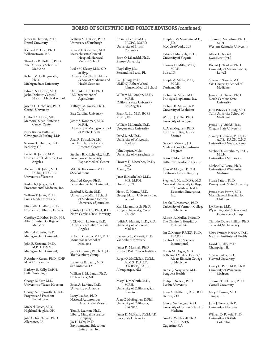#### **BOARD OF SCIENTIFIC AND POLICY ADVISORS** *(continued)*

James D. Herbert, Ph.D. Drexel University

Richard M. Hoar, Ph.D. Williamstown, MA

Theodore R. Holford, Ph.D. Yale University School of **Medicine** 

Robert M. Hollingworth, Ph.D. Michigan State University

Edward S. Horton, M.D. Joslin Diabetes Center/ Harvard Medical School

Joseph H. Hotchkiss, Ph.D. Cornell University

Clifford A. Hudis, MD. Memorial Sloan-Kettering Cancer Center

Peter Barton Hutt, Esq. Covington & Burling, LLP

Susanne L. Huttner, Ph.D. Berkeley, CA

Lucien R. Jacobs, M.D. University of California, Los Angeles

Alejandro R. Jadad, M.D., D.Phil., F.R.C.P.C. University of Toronto

Rudolph J. Jaeger, Ph.D. Environmental Medicine, Inc.

William T. Jarvis, Ph.D. Loma Linda University

Elizabeth H. Jeffery, P.h.D. University of Illinois, Urbana

Geoffrey C. Kabat, Ph.D., M.S. Albert Einstein College of Medicine

Michael Kamrin, Ph.D. Michigan State University

John B. Kaneene, Ph.D., M.P.H., D.V.M. Michigan State University

P. Andrew Karam, Ph.D., CHP MJW Corporation

Kathryn E. Kelly, Dr.P.H. Delta Toxicology

George R. Kerr, M.D. University of Texas, Houston

George A. Keyworth II, Ph.D. Progress and Freedom Foundation

Michael Kirsch, M.D. Highland Heights, OH

John C. Kirschman, Ph.D. Allentown, PA

William M. P. Klein, Ph.D. University of Pittsburgh

> Ronald E. Kleinman, M.D. Massachusetts General Hospital/Harvard Medical School

Leslie M. Klevay, M.D., S.D. in Hyg.

University of North Dakota School of Medicine and Health Sciences

David M. Klurfeld, Ph.D. U.S. Department of Agriculture

Kathryn M. Kolasa, Ph.D., R.D. East Carolina University

James S. Koopman, M.D, M.P.H. University of Michigan School of Public Health

Alan R. Kristal, Dr.P.H. Fred Hutchinson Cancer Research Center

Stephen B. Kritchevsky, Ph.D. Wake Forest University Baptist Medical Center

Mitzi R. Krockover, M.D. SSB Solutions

Manfred Kroger, Ph.D. Pennsylvania State University

Sanford F. Kuvin, M.D. University of Miami School of Medicine/ Hebrew University of Jerusalem

Carolyn J. Lackey, Ph.D., R.D. North Carolina State University

J. Clayburn LaForce, Ph.D. University of California, Los Angeles

Robert G. Lahita, M.D., Ph.D. Mount Sinai School of Medicine

James C. Lamb, IV, Ph.D., J.D. The Weinberg Group

Lawrence E. Lamb, M.D. San Antonio, TX

William E. M. Lands, Ph.D. College Park, MD

Brian A. Larkins, Ph.D. University of Arizona

Larry Laudan, Ph.D. National Autonomous University of Mexico

Tom B. Leamon, Ph.D. Liberty Mutual Insurance Company Jay H. Lehr, Ph.D. Environmental Education Enterprises, Inc.

Brian C. Lentle, M.D., FRCPC, DMRD University of British Columbia

Scott O. Lilienfeld, Ph.D. Emory University

Floy Lilley, J.D. Fernandina Beach, FL

Paul J. Lioy, Ph.D. UMDNJ-Robert Wood Johnson Medical School

William M. London, Ed.D., M.P.H. California State University, Los Angeles

Frank C. Lu, M.D., BCFE Miami, FL

William M. Lunch, Ph.D. Oregon State University

Daryl Lund, Ph.D. University of Wisconsin, Madison

John Lupien, M.Sc. University of Massachusetts

Howard D. Maccabee, Ph.D., M.D. Alamo, CA

Janet E. Macheledt, M.D., M.S., M.P.H. Houston, TX

Henry G. Manne, J.S.D. George Mason University Law School

Karl Maramorosch, Ph.D. Rutgers University, Cook College

Judith A. Marlett, Ph.D., R.D. University of Wisconsin, Madison

Lawrence J., Marnett, Ph.D. Vanderbilt University

James R. Marshall, Ph.D. Roswell Park Cancer Institute

Roger O. McClellan, D.V.M., M.M.S., D.A.B.T., D.A.B.V.T., F.A.T.S. Albuquerque, NM

Mary H. McGrath, M.D., M.P.H. University of California, San Francisco

Alan G. McHughen, D.Phil. University of California, Riverside

James D. McKean, D.V.M., J.D. Iowa State University

Joseph P. McMenamin, M.D., J.D. McGuireWoods, LLP

Patrick J. Michaels, Ph.D. University of Virginia

Thomas H. Milby, M.D., M.P.H. Boise, ID

Joseph M. Miller, M.D., M.P.H. Durham, NH

Richard A. Miller, M.D. Principia Biopharma, Inc.

Richard K. Miller, Ph.D. University of Rochester

William J. Miller, Ph.D. University of Georgia

A. Alan Moghissi, Ph.D. Institute for Regulatory Science

Grace P. Monaco, J.D. Medical Care Ombudsman Program

Brian E. Mondell, M.D. Baltimore Headache Institute

John W. Morgan, Dr.P.H. California Cancer Registry

Stephen J. Moss, D.D.S., M.S. New York University College of Dentistry/Health Education Enterprises, Inc.

Brooke T. Mossman, Ph.D. University of Vermont College of Medicine

Allison A. Muller, Pharm.D. The Children's Hospital of Philadelphia

Ian C. Munro, F.A.T.S., Ph.D., FRCPath Cantox Health Sciences International

Harris M. Nagler, M.D. Beth Israel Medical Center/ Albert Einstein College of Medicine

Daniel J. Ncayiyana, M.D. Benguela Health

Philip E. Nelson, Ph.D. Purdue University

Joyce A. Nettleton, D.Sc., R.D. Denver, CO

John S. Neuberger, Dr.P.H. University of Kansas School of Medicine

Gordon W. Newell, Ph.D., M.S., F.-A.T.S. Cupertino, CA

Thomas J. Nicholson, Ph.D., M.P.H. Western Kentucky University

Albert G. Nickel LyonHeart (ret.)

Robert J. Nicolosi, Ph.D. University of Massachusetts, Lowell

Steven P. Novella, M.D. Yale University School of Medicine

James L. Oblinger, Ph.D. North Carolina State University

John Patrick O'Grady, M.D. Tufts University School of Medicine

James E. Oldfield, Ph.D. Oregon State University

Stanley T. Omaye, Ph.D., F.- A.T.S., F.ACN, C.N.S. University of Nevada, Reno

Michael T. Osterholm, Ph.D., M.P.H. University of Minnesota

Michael W. Pariza, Ph.D.

University of Wisconsin, Madison

Stuart Patton, Ph.D. Pennsylvania State University

James Marc Perrin, M.D. Mass General Hospital for Children

Jay Phelan, M.D. Wyle Integrated Science and Engineering Group

Timothy Dukes Phillips, Ph.D. Texas A&M University Mary Frances Picciano, Ph.D. National Institutes of Health

David R. Pike, Ph.D. Champaign, IL Steven Pinker, Ph.D. Harvard University

Henry C. Pitot, M.D., Ph.D. University of Wisconsin, Madison Thomas T. Poleman, Ph.D. Cornell University Gary P. Posner, M.D. Tampa, FL

John J. Powers, Ph.D. University of Georgia William D. Powrie, Ph.D. University of British Columbia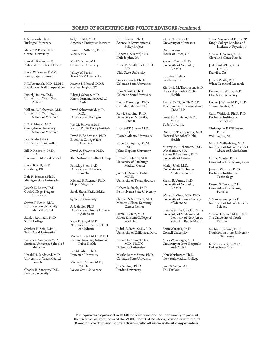#### **BOARD OF SCIENTIFIC AND POLICY ADVISORS** *(continued)*

C.S. Prakash, Ph.D. Tuskegee University

Marvin P. Pritts, Ph.D. Cornell University

Daniel J. Raiten, Ph.D. National Institutes of Health

David W. Ramey, D.V.M. Ramey Equine Group

R.T. Ravenholt, M.D., M.P.H. Population Health Imperatives

Russel J. Reiter, Ph.D. University of Texas, San Antonio

William O. Robertson, M.D. University of Washington School of Medicine

J. D. Robinson, M.D. Georgetown University School of Medicine

Brad Rodu, D.D.S. University of Louisville

Bill D. Roebuck, Ph.D., D.A.B.T. Dartmouth Medical School

David B. Roll, Ph.D. Granbury, TX

Dale R. Romsos, Ph.D. Michigan State University

Joseph D. Rosen, Ph.D. Cook College, Rutgers University

Steven T. Rosen, M.D. Northwestern University Medical School

Stanley Rothman, Ph.D. Smith College

Stephen H. Safe, D.Phil. Texas A&M University

Wallace I. Sampson, M.D. Stanford University School of Medicine

Harold H. Sandstead, M.D. University of Texas Medical Branch

Charles R. Santerre, Ph.D. Purdue University

Sally L. Satel, M.D. American Enterprise Institute

Lowell D. Satterlee, Ph.D. Vergas, MN

Mark V. Sauer, M.D. Columbia University

Jeffrey W. Savell Texas A&M University

Marvin J. Schissel, D.D.S. Roslyn Heights, NY

Edgar J. Schoen, M.D. Kaiser Permanente Medical Center

David Schottenfeld, M.D., M.Sc. University of Michigan

Joel M. Schwartz, M.S. Reason Public Policy Institute

David E. Seidemann, Ph.D. Brooklyn College/Yale University

David A. Shaywitz, M.D., Ph.D.

The Boston Consulting Group Patrick J. Shea, Ph.D.

University of Nebraska, Lincoln

Michael B. Shermer, Ph.D. Skeptic Magazine

Sarah Short, Ph.D., Ed.D., R.D. Syracuse University

A. J. Siedler, Ph.D. University of Illinois, Urbana-Champaign

Marc K. Siegel, M.D. New York University School of Medicine

Michael Siegel, M.D., M.P.H. Boston University School of Pubic Health

Lee M. Silver, Ph.D. Princeton University

Michael S. Simon, M.D., M.P.H. Wayne State University

S. Fred Singer, Ph.D. Science & Environmental Policy Project

Robert B. Sklaroff, M.D. Philadelphia, PA

Anne M. Smith, Ph.D., R.D., L.D. Ohio State University

Gary C. Smith, Ph.D. Colorado State University

John N. Sofos, Ph.D. Colorado State University

Laszlo P Somogyi, Ph.D. SRI International (ret.)

Roy F. Spalding, Ph.D. University of Nebraska, Lincoln

Leonard T. Sperry, M.D., Ph.D.

Florida Atlantic University Robert A. Squire, D.V.M.,

Ph.D. Johns Hopkins University

Ronald T. Stanko, M.D. University of Pittsburgh Medical Center

James H. Steele, D.V.M., M.P.H.

University of Texas, Houston Robert D. Steele, Ph.D.

Pennsylvania State University

Stephen S. Sternberg, M.D. Memorial Sloan-Kettering Cancer Center

Daniel T. Stein, M.D. Albert Einstein College of Medicine

Judith S. Stern, Sc.D., R.D. University of California, Davis

Ronald D. Stewart, O.C., M.D., FRCPC Dalhousie University

Martha Barnes Stone, Ph.D. Colorado State University

Jon A. Story, Ph.D. Purdue University

Sita R. Tatini, Ph.D. University of Minnesota

Dick Taverne House of Lords, UK

Steve L. Taylor, Ph.D. University of Nebraska, Lincoln

Lorraine Thelian Ketchum, Inc.

Kimberly M. Thompson, Sc.D. Harvard School of Public Health

Andrea D. Tiglio, Ph.D., J.D. Townsend and Townsend and Crew, LLP

James E. Tillotson, Ph.D., M.B.A. Tufts University

Dimitrios Trichopoulos, M.D. Harvard School of Public Health

Murray M. Tuckerman, Ph.D. Winchendon, MA Robert P. Upchurch, Ph.D. University of Arizona

Mark J. Utell, M.D. University of Rochester Medical Center

Shashi B. Verma, Ph.D. University of Nebraska, Lincoln

Willard J. Visek, M.D., Ph.D. University of Illinois College of Medicine

Lynn Waishwell, Ph.D., CHES University of Medicine and Dentistry of New Jersey, School of Public Health

Brian Wansink, Ph.D. Cornell University

Miles Weinberger, M.D. University of Iowa Hospitals and Clinics

John Weisburger, Ph.D. New York Medical College

Janet S. Weiss, M.D. The ToxDoc

Simon Wessely, M.D., FRCP King's College London and Institute of Psychiatry

Steven D. Wexner, M.D. Cleveland Clinic Florida

Joel Elliot White, M.D., F.A.C.R. Danville, CA

John S. White, Ph.D. White Technical Research

Kenneth L. White, Ph.D. Utah State University

Robert J. White, M.D., Ph.D. Shaker Heights, OH

Carol Whitlock, Ph.D., R.D. Rochester Institute of Technology

Christopher F. Wilkinson, Ph.D.

Wilmington, NC

Mark L. Willenbring, M.D. National Institute on Alcohol Abuse and Alcoholism

Carl K. Winter, Ph.D. University of California, Davis

James J. Worman, Ph.D. Rochester Institute of Technology

Russell S. Worrall, O.D. University of California, Berkeley

S. Stanley Young, Ph.D. National Institute of Statistical Science

Steven H. Zeisel, M.D., Ph.D. The University of North Carolina

Michael B. Zemel, Ph.D. Nutrition Institute, University of Tennessee

Ekhard E. Ziegler, M.D. University of Iowa

The opinions expressed in ACSH publications do not necessarily represent the views of all members of the ACSH Board of Trustees, Founders Circle and Board of Scientific and Policy Advisors, who all serve without compensation.